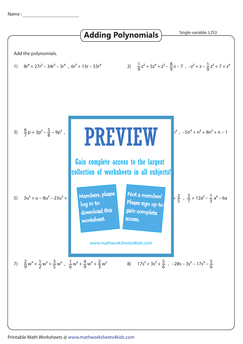